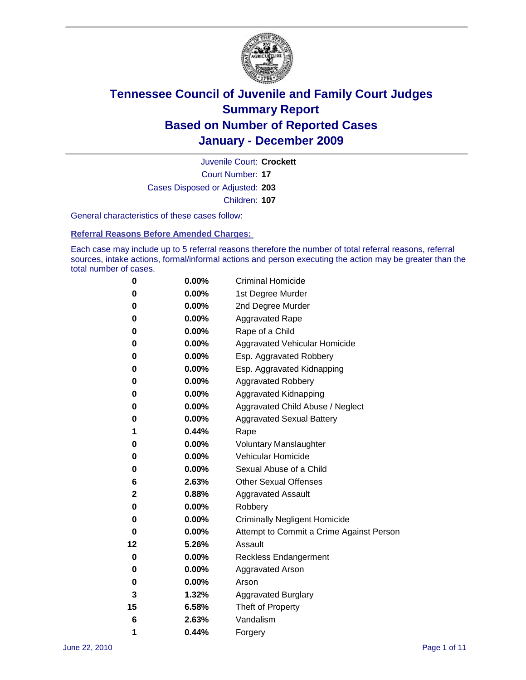

Court Number: **17** Juvenile Court: **Crockett** Cases Disposed or Adjusted: **203** Children: **107**

General characteristics of these cases follow:

**Referral Reasons Before Amended Charges:** 

Each case may include up to 5 referral reasons therefore the number of total referral reasons, referral sources, intake actions, formal/informal actions and person executing the action may be greater than the total number of cases.

| 0  | 0.00%    | <b>Criminal Homicide</b>                 |
|----|----------|------------------------------------------|
| 0  | 0.00%    | 1st Degree Murder                        |
| 0  | 0.00%    | 2nd Degree Murder                        |
| 0  | 0.00%    | <b>Aggravated Rape</b>                   |
| 0  | 0.00%    | Rape of a Child                          |
| 0  | 0.00%    | Aggravated Vehicular Homicide            |
| 0  | 0.00%    | Esp. Aggravated Robbery                  |
| 0  | 0.00%    | Esp. Aggravated Kidnapping               |
| 0  | 0.00%    | <b>Aggravated Robbery</b>                |
| 0  | 0.00%    | Aggravated Kidnapping                    |
| 0  | 0.00%    | Aggravated Child Abuse / Neglect         |
| 0  | $0.00\%$ | <b>Aggravated Sexual Battery</b>         |
| 1  | 0.44%    | Rape                                     |
| 0  | 0.00%    | <b>Voluntary Manslaughter</b>            |
| 0  | 0.00%    | Vehicular Homicide                       |
| 0  | 0.00%    | Sexual Abuse of a Child                  |
| 6  | 2.63%    | <b>Other Sexual Offenses</b>             |
| 2  | 0.88%    | <b>Aggravated Assault</b>                |
| 0  | $0.00\%$ | Robbery                                  |
| 0  | 0.00%    | <b>Criminally Negligent Homicide</b>     |
| 0  | 0.00%    | Attempt to Commit a Crime Against Person |
| 12 | 5.26%    | Assault                                  |
| 0  | 0.00%    | <b>Reckless Endangerment</b>             |
| 0  | 0.00%    | <b>Aggravated Arson</b>                  |
| 0  | 0.00%    | Arson                                    |
| 3  | 1.32%    | <b>Aggravated Burglary</b>               |
| 15 | 6.58%    | Theft of Property                        |
| 6  | 2.63%    | Vandalism                                |
| 1  | 0.44%    | Forgery                                  |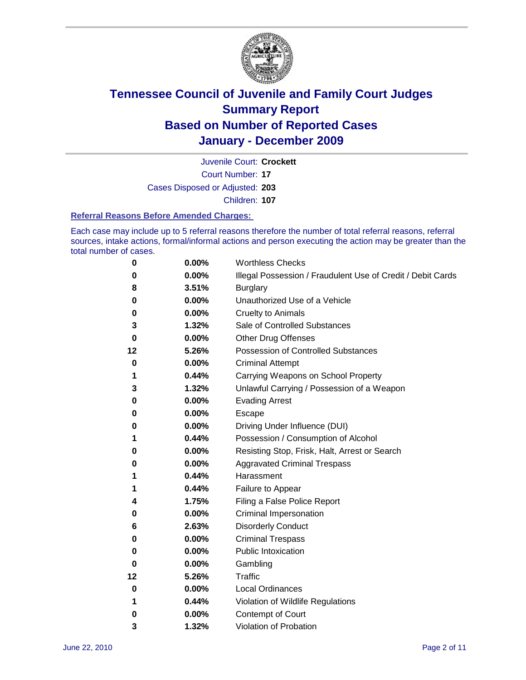

Court Number: **17** Juvenile Court: **Crockett** Cases Disposed or Adjusted: **203** Children: **107**

#### **Referral Reasons Before Amended Charges:**

Each case may include up to 5 referral reasons therefore the number of total referral reasons, referral sources, intake actions, formal/informal actions and person executing the action may be greater than the total number of cases.

| 0  | 0.00%    | <b>Worthless Checks</b>                                     |
|----|----------|-------------------------------------------------------------|
| 0  | 0.00%    | Illegal Possession / Fraudulent Use of Credit / Debit Cards |
| 8  | 3.51%    | <b>Burglary</b>                                             |
| 0  | $0.00\%$ | Unauthorized Use of a Vehicle                               |
| 0  | $0.00\%$ | <b>Cruelty to Animals</b>                                   |
| 3  | 1.32%    | Sale of Controlled Substances                               |
| 0  | 0.00%    | <b>Other Drug Offenses</b>                                  |
| 12 | 5.26%    | <b>Possession of Controlled Substances</b>                  |
| 0  | $0.00\%$ | <b>Criminal Attempt</b>                                     |
| 1  | 0.44%    | Carrying Weapons on School Property                         |
| 3  | 1.32%    | Unlawful Carrying / Possession of a Weapon                  |
| 0  | $0.00\%$ | <b>Evading Arrest</b>                                       |
| 0  | $0.00\%$ | Escape                                                      |
| 0  | 0.00%    | Driving Under Influence (DUI)                               |
| 1  | 0.44%    | Possession / Consumption of Alcohol                         |
| 0  | $0.00\%$ | Resisting Stop, Frisk, Halt, Arrest or Search               |
| 0  | $0.00\%$ | <b>Aggravated Criminal Trespass</b>                         |
| 1  | 0.44%    | Harassment                                                  |
| 1  | 0.44%    | Failure to Appear                                           |
| 4  | 1.75%    | Filing a False Police Report                                |
| 0  | 0.00%    | Criminal Impersonation                                      |
| 6  | 2.63%    | <b>Disorderly Conduct</b>                                   |
| 0  | 0.00%    | <b>Criminal Trespass</b>                                    |
| 0  | 0.00%    | <b>Public Intoxication</b>                                  |
| 0  | $0.00\%$ | Gambling                                                    |
| 12 | 5.26%    | Traffic                                                     |
| 0  | $0.00\%$ | <b>Local Ordinances</b>                                     |
| 1  | 0.44%    | Violation of Wildlife Regulations                           |
| 0  | $0.00\%$ | Contempt of Court                                           |
| 3  | 1.32%    | Violation of Probation                                      |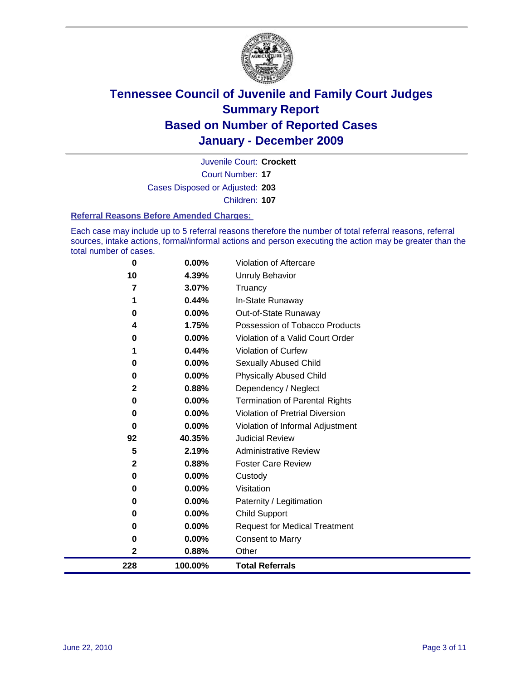

Court Number: **17** Juvenile Court: **Crockett** Cases Disposed or Adjusted: **203** Children: **107**

#### **Referral Reasons Before Amended Charges:**

Each case may include up to 5 referral reasons therefore the number of total referral reasons, referral sources, intake actions, formal/informal actions and person executing the action may be greater than the total number of cases.

| 0            | 0.00%    | Violation of Aftercare                 |
|--------------|----------|----------------------------------------|
| 10           | 4.39%    | Unruly Behavior                        |
| 7            | 3.07%    | Truancy                                |
|              | 0.44%    | In-State Runaway                       |
| 0            | $0.00\%$ | Out-of-State Runaway                   |
| 4            | 1.75%    | Possession of Tobacco Products         |
| 0            | 0.00%    | Violation of a Valid Court Order       |
|              | 0.44%    | Violation of Curfew                    |
| 0            | 0.00%    | Sexually Abused Child                  |
| 0            | 0.00%    | <b>Physically Abused Child</b>         |
| $\mathbf{2}$ | 0.88%    | Dependency / Neglect                   |
| 0            | 0.00%    | <b>Termination of Parental Rights</b>  |
| 0            | 0.00%    | <b>Violation of Pretrial Diversion</b> |
| $\bf{0}$     | 0.00%    | Violation of Informal Adjustment       |
| 92           | 40.35%   | <b>Judicial Review</b>                 |
| 5            | 2.19%    | <b>Administrative Review</b>           |
| $\mathbf{2}$ | 0.88%    | <b>Foster Care Review</b>              |
| 0            | 0.00%    | Custody                                |
| 0            | 0.00%    | Visitation                             |
| 0            | 0.00%    | Paternity / Legitimation               |
| 0            | 0.00%    | <b>Child Support</b>                   |
| 0            | 0.00%    | <b>Request for Medical Treatment</b>   |
| 0            | 0.00%    | <b>Consent to Marry</b>                |
| $\mathbf{2}$ | 0.88%    | Other                                  |
| 228          | 100.00%  | <b>Total Referrals</b>                 |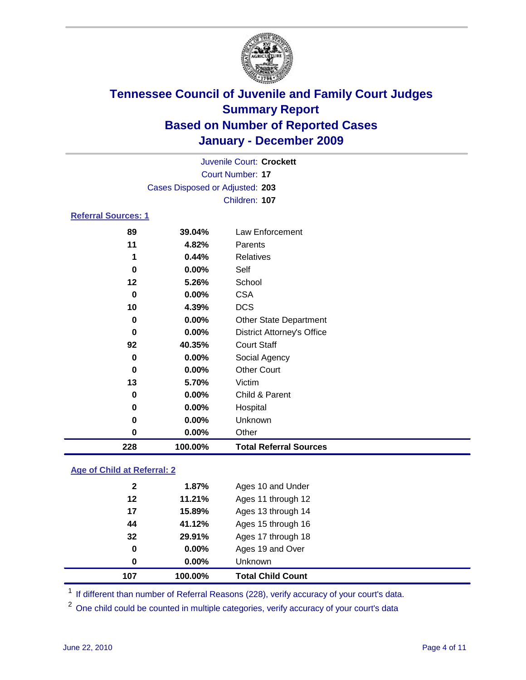

|                            |                                 | Juvenile Court: Crockett |  |  |  |  |
|----------------------------|---------------------------------|--------------------------|--|--|--|--|
|                            | Court Number: 17                |                          |  |  |  |  |
|                            | Cases Disposed or Adjusted: 203 |                          |  |  |  |  |
|                            |                                 | Children: 107            |  |  |  |  |
| <b>Referral Sources: 1</b> |                                 |                          |  |  |  |  |
| 89                         | 39.04%                          | Law Enforcement          |  |  |  |  |
| 11                         | 4.82%                           | Parents                  |  |  |  |  |
| 1                          | 0.44%                           | Relatives                |  |  |  |  |
| 0                          | 0.00%                           | Self                     |  |  |  |  |
| 12                         | 5.26%                           | School                   |  |  |  |  |
| 0                          | 0.00%                           | <b>CSA</b>               |  |  |  |  |
| 10                         | 4.39%                           | <b>DCS</b>               |  |  |  |  |
|                            |                                 |                          |  |  |  |  |

| 228      | 100.00%  | <b>Total Referral Sources</b>     |  |
|----------|----------|-----------------------------------|--|
| 0        | 0.00%    | Other                             |  |
| 0        | $0.00\%$ | Unknown                           |  |
| 0        | 0.00%    | Hospital                          |  |
| 0        | 0.00%    | Child & Parent                    |  |
| 13       | 5.70%    | Victim                            |  |
| $\bf{0}$ | 0.00%    | <b>Other Court</b>                |  |
| 0        | 0.00%    | Social Agency                     |  |
| 92       | 40.35%   | <b>Court Staff</b>                |  |
| 0        | $0.00\%$ | <b>District Attorney's Office</b> |  |
| 0        | 0.00%    | <b>Other State Department</b>     |  |
| 10       | 4.39%    | <b>DCS</b>                        |  |
| 0        | 0.00%    | <b>CSA</b>                        |  |
| 12       | 5.26%    | School                            |  |
| 0        | $0.00\%$ | Self                              |  |
| 1        | 0.44%    | <b>Relatives</b>                  |  |

### **Age of Child at Referral: 2**

| 107          | 100.00%  | <b>Total Child Count</b> |
|--------------|----------|--------------------------|
| 0            | $0.00\%$ | <b>Unknown</b>           |
| 0            | 0.00%    | Ages 19 and Over         |
| 32           | 29.91%   | Ages 17 through 18       |
| 44           | 41.12%   | Ages 15 through 16       |
| 17           | 15.89%   | Ages 13 through 14       |
| 12           | 11.21%   | Ages 11 through 12       |
| $\mathbf{2}$ | 1.87%    | Ages 10 and Under        |

<sup>1</sup> If different than number of Referral Reasons (228), verify accuracy of your court's data.

<sup>2</sup> One child could be counted in multiple categories, verify accuracy of your court's data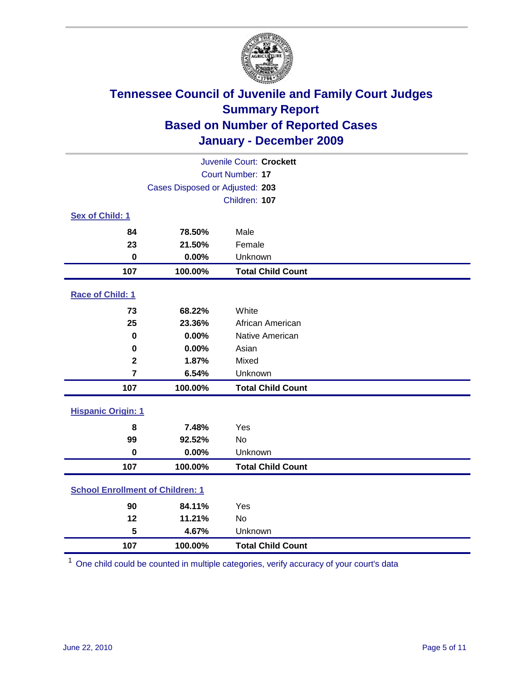

| Juvenile Court: Crockett                |                                 |                          |  |  |
|-----------------------------------------|---------------------------------|--------------------------|--|--|
|                                         | <b>Court Number: 17</b>         |                          |  |  |
|                                         | Cases Disposed or Adjusted: 203 |                          |  |  |
|                                         |                                 | Children: 107            |  |  |
| Sex of Child: 1                         |                                 |                          |  |  |
| 84                                      | 78.50%                          | Male                     |  |  |
| 23                                      | 21.50%                          | Female                   |  |  |
| $\mathbf 0$                             | 0.00%                           | Unknown                  |  |  |
| 107                                     | 100.00%                         | <b>Total Child Count</b> |  |  |
| Race of Child: 1                        |                                 |                          |  |  |
| 73                                      | 68.22%                          | White                    |  |  |
| 25                                      | 23.36%                          | African American         |  |  |
| $\mathbf 0$                             | 0.00%                           | Native American          |  |  |
| $\mathbf 0$                             | 0.00%                           | Asian                    |  |  |
| $\overline{\mathbf{2}}$                 | 1.87%                           | Mixed                    |  |  |
| $\overline{7}$                          | 6.54%                           | Unknown                  |  |  |
| 107                                     | 100.00%                         | <b>Total Child Count</b> |  |  |
| <b>Hispanic Origin: 1</b>               |                                 |                          |  |  |
| 8                                       | 7.48%                           | Yes                      |  |  |
| 99                                      | 92.52%                          | <b>No</b>                |  |  |
| $\mathbf 0$                             | 0.00%                           | Unknown                  |  |  |
| 107                                     | 100.00%                         | <b>Total Child Count</b> |  |  |
| <b>School Enrollment of Children: 1</b> |                                 |                          |  |  |
| 90                                      | 84.11%                          | Yes                      |  |  |
| 12                                      | 11.21%                          | No                       |  |  |
| 5                                       | 4.67%                           | Unknown                  |  |  |
| 107                                     | 100.00%                         | <b>Total Child Count</b> |  |  |

One child could be counted in multiple categories, verify accuracy of your court's data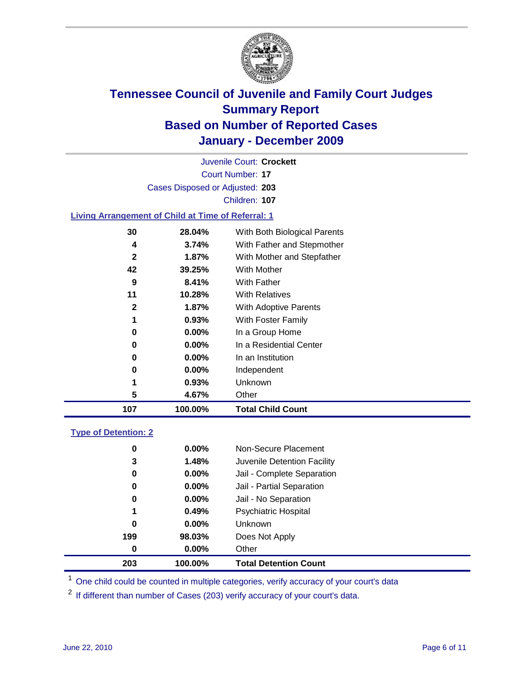

Court Number: **17** Juvenile Court: **Crockett** Cases Disposed or Adjusted: **203** Children: **107**

### **Living Arrangement of Child at Time of Referral: 1**

| 107          | 100.00%  | <b>Total Child Count</b>     |
|--------------|----------|------------------------------|
| 5            | 4.67%    | Other                        |
| 1            | 0.93%    | Unknown                      |
| 0            | $0.00\%$ | Independent                  |
| 0            | 0.00%    | In an Institution            |
| 0            | $0.00\%$ | In a Residential Center      |
| 0            | 0.00%    | In a Group Home              |
| 1            | 0.93%    | With Foster Family           |
| 2            | 1.87%    | <b>With Adoptive Parents</b> |
| 11           | 10.28%   | <b>With Relatives</b>        |
| 9            | 8.41%    | With Father                  |
| 42           | 39.25%   | With Mother                  |
| $\mathbf{2}$ | 1.87%    | With Mother and Stepfather   |
| 4            | 3.74%    | With Father and Stepmother   |
| 30           | 28.04%   | With Both Biological Parents |
|              |          |                              |

#### **Type of Detention: 2**

| 203      | 100.00%  | <b>Total Detention Count</b> |  |
|----------|----------|------------------------------|--|
| 0        | $0.00\%$ | Other                        |  |
| 199      | 98.03%   | Does Not Apply               |  |
| 0        | $0.00\%$ | Unknown                      |  |
| 1        | 0.49%    | <b>Psychiatric Hospital</b>  |  |
| $\bf{0}$ | 0.00%    | Jail - No Separation         |  |
| 0        | $0.00\%$ | Jail - Partial Separation    |  |
| 0        | $0.00\%$ | Jail - Complete Separation   |  |
| 3        | 1.48%    | Juvenile Detention Facility  |  |
| 0        | $0.00\%$ | Non-Secure Placement         |  |
|          |          |                              |  |

<sup>1</sup> One child could be counted in multiple categories, verify accuracy of your court's data

<sup>2</sup> If different than number of Cases (203) verify accuracy of your court's data.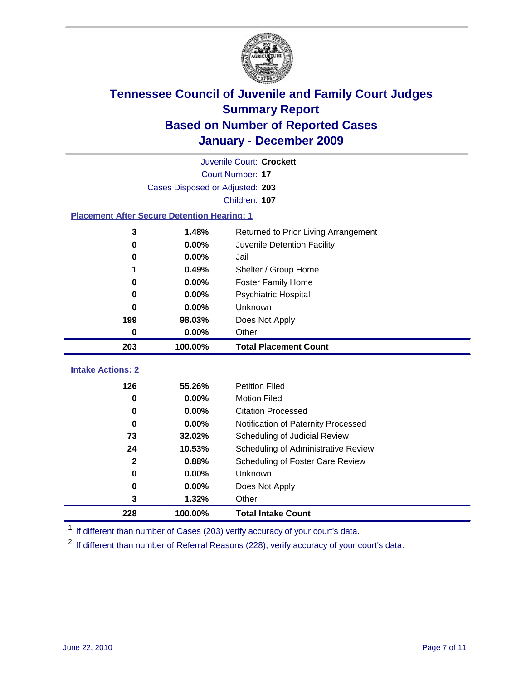

|                                                    | Juvenile Court: Crockett        |                                      |  |  |
|----------------------------------------------------|---------------------------------|--------------------------------------|--|--|
|                                                    | Court Number: 17                |                                      |  |  |
|                                                    | Cases Disposed or Adjusted: 203 |                                      |  |  |
|                                                    |                                 | Children: 107                        |  |  |
| <b>Placement After Secure Detention Hearing: 1</b> |                                 |                                      |  |  |
| 3                                                  | 1.48%                           | Returned to Prior Living Arrangement |  |  |
| 0                                                  | 0.00%                           | Juvenile Detention Facility          |  |  |
| 0                                                  | 0.00%                           | Jail                                 |  |  |
| 1                                                  | 0.49%                           | Shelter / Group Home                 |  |  |
| 0                                                  | 0.00%                           | <b>Foster Family Home</b>            |  |  |
| 0                                                  | 0.00%                           | <b>Psychiatric Hospital</b>          |  |  |
| 0                                                  | 0.00%                           | Unknown                              |  |  |
| 199                                                | 98.03%                          | Does Not Apply                       |  |  |
| 0                                                  | 0.00%                           | Other                                |  |  |
| 203                                                | 100.00%                         | <b>Total Placement Count</b>         |  |  |
| <b>Intake Actions: 2</b>                           |                                 |                                      |  |  |
|                                                    |                                 |                                      |  |  |
| 126                                                | 55.26%                          | <b>Petition Filed</b>                |  |  |
| $\bf{0}$                                           | 0.00%                           | <b>Motion Filed</b>                  |  |  |
| 0                                                  | 0.00%                           | <b>Citation Processed</b>            |  |  |
| $\bf{0}$                                           | 0.00%                           | Notification of Paternity Processed  |  |  |
| 73                                                 | 32.02%                          | Scheduling of Judicial Review        |  |  |
| 24                                                 | 10.53%                          | Scheduling of Administrative Review  |  |  |
| $\mathbf{2}$                                       | 0.88%                           | Scheduling of Foster Care Review     |  |  |
| 0                                                  | 0.00%                           | Unknown                              |  |  |
| 0                                                  | 0.00%                           | Does Not Apply                       |  |  |
| 3                                                  | 1.32%                           | Other                                |  |  |
| 228                                                | 100.00%                         | <b>Total Intake Count</b>            |  |  |

<sup>1</sup> If different than number of Cases (203) verify accuracy of your court's data.

<sup>2</sup> If different than number of Referral Reasons (228), verify accuracy of your court's data.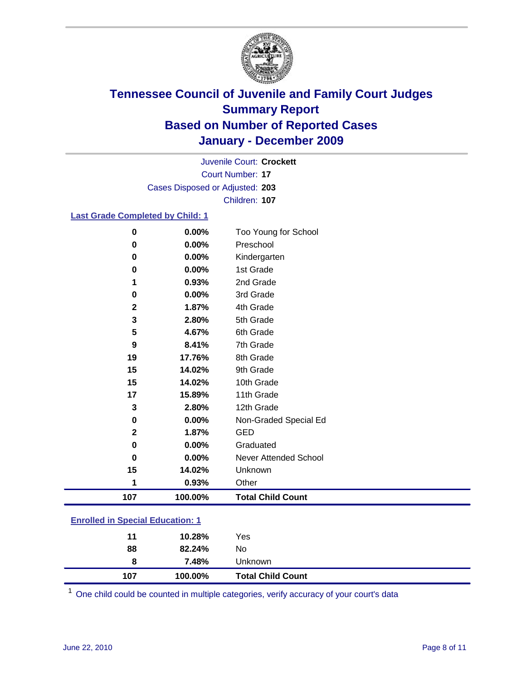

Court Number: **17** Juvenile Court: **Crockett** Cases Disposed or Adjusted: **203** Children: **107**

### **Last Grade Completed by Child: 1**

| $\pmb{0}$                               | 0.00%    | Too Young for School         |  |
|-----------------------------------------|----------|------------------------------|--|
| 0                                       | 0.00%    | Preschool                    |  |
| 0                                       | 0.00%    | Kindergarten                 |  |
| 0                                       | 0.00%    | 1st Grade                    |  |
| 1                                       | 0.93%    | 2nd Grade                    |  |
| 0                                       | 0.00%    | 3rd Grade                    |  |
| 2                                       | 1.87%    | 4th Grade                    |  |
| 3                                       | 2.80%    | 5th Grade                    |  |
| 5                                       | 4.67%    | 6th Grade                    |  |
| 9                                       | 8.41%    | 7th Grade                    |  |
| 19                                      | 17.76%   | 8th Grade                    |  |
| 15                                      | 14.02%   | 9th Grade                    |  |
| 15                                      | 14.02%   | 10th Grade                   |  |
| 17                                      | 15.89%   | 11th Grade                   |  |
| 3                                       | 2.80%    | 12th Grade                   |  |
| 0                                       | 0.00%    | Non-Graded Special Ed        |  |
| 2                                       | 1.87%    | <b>GED</b>                   |  |
| 0                                       | $0.00\%$ | Graduated                    |  |
| $\pmb{0}$                               | 0.00%    | <b>Never Attended School</b> |  |
| 15                                      | 14.02%   | Unknown                      |  |
| 1                                       | 0.93%    | Other                        |  |
| 107                                     | 100.00%  | <b>Total Child Count</b>     |  |
| <b>Enrolled in Special Education: 1</b> |          |                              |  |

| 107 | 100.00% | <b>Total Child Count</b> |
|-----|---------|--------------------------|
| 8   | 7.48%   | Unknown                  |
| 88  | 82.24%  | No                       |
| 11  | 10.28%  | Yes                      |
|     |         |                          |

One child could be counted in multiple categories, verify accuracy of your court's data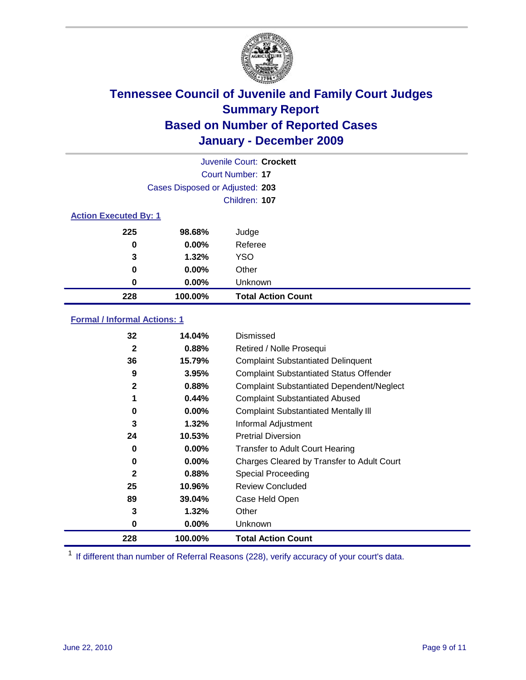

|                              |                                 | Juvenile Court: Crockett  |
|------------------------------|---------------------------------|---------------------------|
|                              |                                 | Court Number: 17          |
|                              | Cases Disposed or Adjusted: 203 |                           |
|                              |                                 | Children: 107             |
| <b>Action Executed By: 1</b> |                                 |                           |
| 225                          | 98.68%                          | Judge                     |
| 0                            | $0.00\%$                        | Referee                   |
| 3                            | 1.32%                           | <b>YSO</b>                |
| 0                            | $0.00\%$                        | Other                     |
| 0                            | $0.00\%$                        | Unknown                   |
| 228                          | 100.00%                         | <b>Total Action Count</b> |

### **Formal / Informal Actions: 1**

| 32           | 14.04%   | Dismissed                                        |
|--------------|----------|--------------------------------------------------|
| $\mathbf{2}$ | 0.88%    | Retired / Nolle Prosequi                         |
| 36           | 15.79%   | <b>Complaint Substantiated Delinquent</b>        |
| 9            | 3.95%    | <b>Complaint Substantiated Status Offender</b>   |
| $\mathbf{2}$ | 0.88%    | <b>Complaint Substantiated Dependent/Neglect</b> |
| 1            | 0.44%    | <b>Complaint Substantiated Abused</b>            |
| 0            | $0.00\%$ | <b>Complaint Substantiated Mentally III</b>      |
| 3            | 1.32%    | Informal Adjustment                              |
| 24           | 10.53%   | <b>Pretrial Diversion</b>                        |
| 0            | $0.00\%$ | <b>Transfer to Adult Court Hearing</b>           |
| 0            | $0.00\%$ | Charges Cleared by Transfer to Adult Court       |
| $\mathbf{2}$ | 0.88%    | Special Proceeding                               |
| 25           | 10.96%   | <b>Review Concluded</b>                          |
| 89           | 39.04%   | Case Held Open                                   |
| 3            | 1.32%    | Other                                            |
| 0            | $0.00\%$ | <b>Unknown</b>                                   |
| 228          | 100.00%  | <b>Total Action Count</b>                        |

<sup>1</sup> If different than number of Referral Reasons (228), verify accuracy of your court's data.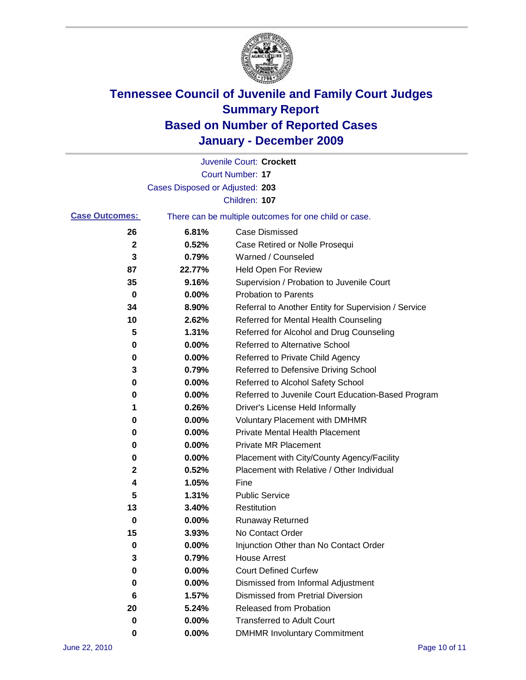

|                       |                                 | Juvenile Court: Crockett                              |
|-----------------------|---------------------------------|-------------------------------------------------------|
|                       |                                 | <b>Court Number: 17</b>                               |
|                       | Cases Disposed or Adjusted: 203 |                                                       |
|                       |                                 | Children: 107                                         |
| <b>Case Outcomes:</b> |                                 | There can be multiple outcomes for one child or case. |
| 26                    | 6.81%                           | <b>Case Dismissed</b>                                 |
| $\mathbf{2}$          | 0.52%                           | Case Retired or Nolle Prosequi                        |
| 3                     | 0.79%                           | Warned / Counseled                                    |
| 87                    | 22.77%                          | Held Open For Review                                  |
| 35                    | 9.16%                           | Supervision / Probation to Juvenile Court             |
| 0                     | 0.00%                           | <b>Probation to Parents</b>                           |
| 34                    | 8.90%                           | Referral to Another Entity for Supervision / Service  |
| 10                    | 2.62%                           | Referred for Mental Health Counseling                 |
| 5                     | 1.31%                           | Referred for Alcohol and Drug Counseling              |
| 0                     | 0.00%                           | <b>Referred to Alternative School</b>                 |
| 0                     | 0.00%                           | Referred to Private Child Agency                      |
| 3                     | 0.79%                           | Referred to Defensive Driving School                  |
| 0                     | 0.00%                           | Referred to Alcohol Safety School                     |
| 0                     | 0.00%                           | Referred to Juvenile Court Education-Based Program    |
| 1                     | 0.26%                           | Driver's License Held Informally                      |
| 0                     | 0.00%                           | <b>Voluntary Placement with DMHMR</b>                 |
| 0                     | 0.00%                           | <b>Private Mental Health Placement</b>                |
| 0                     | 0.00%                           | <b>Private MR Placement</b>                           |
| 0                     | 0.00%                           | Placement with City/County Agency/Facility            |
| 2                     | 0.52%                           | Placement with Relative / Other Individual            |
| 4                     | 1.05%                           | Fine                                                  |
| 5                     | 1.31%                           | <b>Public Service</b>                                 |
| 13                    | 3.40%                           | Restitution                                           |
| 0                     | 0.00%                           | <b>Runaway Returned</b>                               |
| 15                    | 3.93%                           | No Contact Order                                      |
| 0                     | 0.00%                           | Injunction Other than No Contact Order                |
| 3                     | 0.79%                           | <b>House Arrest</b>                                   |
| 0                     | 0.00%                           | <b>Court Defined Curfew</b>                           |
| 0                     | $0.00\%$                        | Dismissed from Informal Adjustment                    |
| 6                     | 1.57%                           | <b>Dismissed from Pretrial Diversion</b>              |
| 20                    | 5.24%                           | Released from Probation                               |
| 0                     | $0.00\%$                        | <b>Transferred to Adult Court</b>                     |
| 0                     | $0.00\%$                        | <b>DMHMR Involuntary Commitment</b>                   |